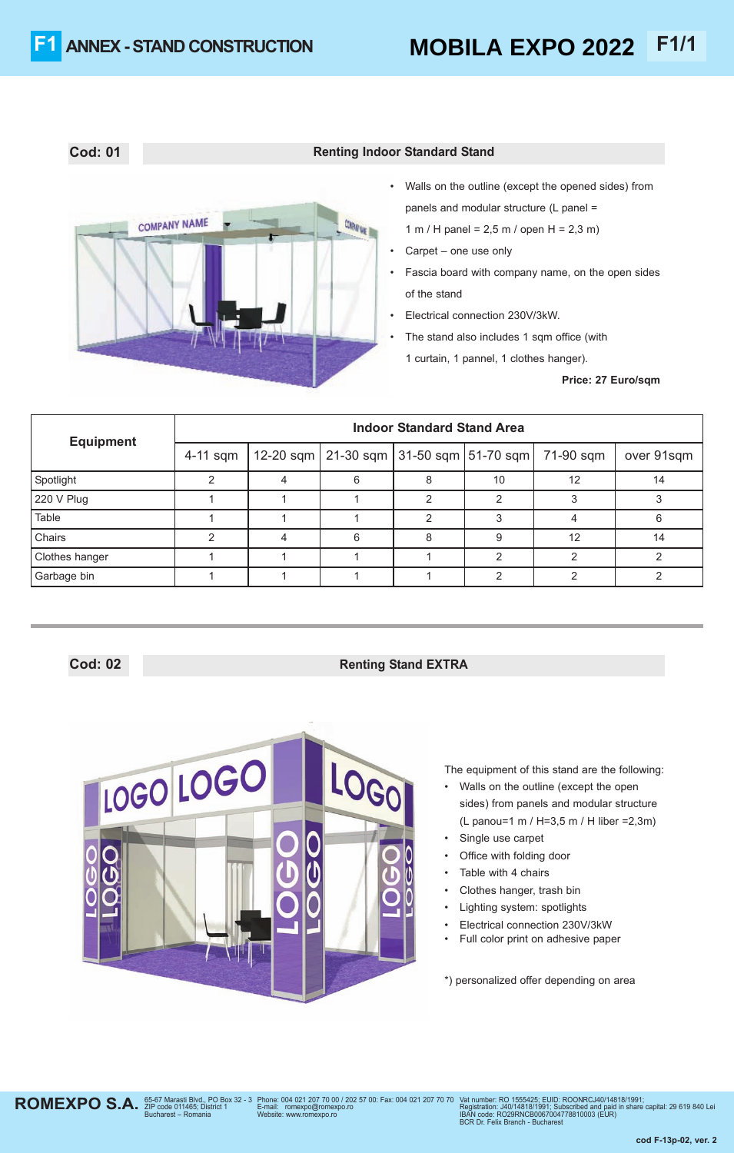

## **Cod: 01 Renting Indoor Standard Stand**

• Walls on the outline (except the opened sides) from panels and modular structure (L panel = 1 m / H panel = 2,5 m / open H = 2,3 m)

- Carpet one use only
- Fascia board with company name, on the open sides of the stand
- Electrical connection 230V/3kW.
- The stand also includes 1 sqm office (with 1 curtain, 1 pannel, 1 clothes hanger).

**Price: 27 Euro/sqm**

| <b>Equipment</b> | <b>Indoor Standard Stand Area</b> |  |                                               |   |    |           |            |  |  |
|------------------|-----------------------------------|--|-----------------------------------------------|---|----|-----------|------------|--|--|
|                  | 4-11 sqm                          |  | 12-20 sqm   21-30 sqm   31-50 sqm   51-70 sqm |   |    | 71-90 sqm | over 91sqm |  |  |
| Spotlight        |                                   |  | h                                             | Õ | 10 | 12        | 14         |  |  |
| 220 V Plug       |                                   |  |                                               |   |    |           |            |  |  |
| Table            |                                   |  |                                               |   |    |           | ิค         |  |  |
| Chairs           |                                   |  | 6                                             | 8 | 9  | 12        | 14         |  |  |
| Clothes hanger   |                                   |  |                                               |   |    |           |            |  |  |
| Garbage bin      |                                   |  |                                               |   |    |           |            |  |  |

# **Cod: 02 Renting Stand EXTRA**



The equipment of this stand are the following:

- Walls on the outline (except the open sides) from panels and modular structure (L panou=1 m / H=3,5 m / H liber =2,3m)
- Single use carpet
- Office with folding door
- Table with 4 chairs
- Clothes hanger, trash bin
- Lighting system: spotlights
- Electrical connection 230V/3kW
- Full color print on adhesive paper

\*) personalized offer depending on area

**ROMEXPO S.A.** *S*5-67 Marasti Blvd., PO Box 32 - 3<br>Bucharest – Romania

Phone: 004 021 207 70 00 / 202 57 00: Fax: 004 021 207 70 70 E-mail: romexpo@romexpo.ro Website: www.romexpo.ro

Vat number: RO 1555425; EUID: ROONRCJ40/14818/1991;<br>Registration: J40/14818/1991; Subscribed and paid in share capital: 29 619 840 Lei<br>IBAN code: RO29RNCB0067004778810003 (EUR)<br>BCR Dr. Felix Branch - Bucharest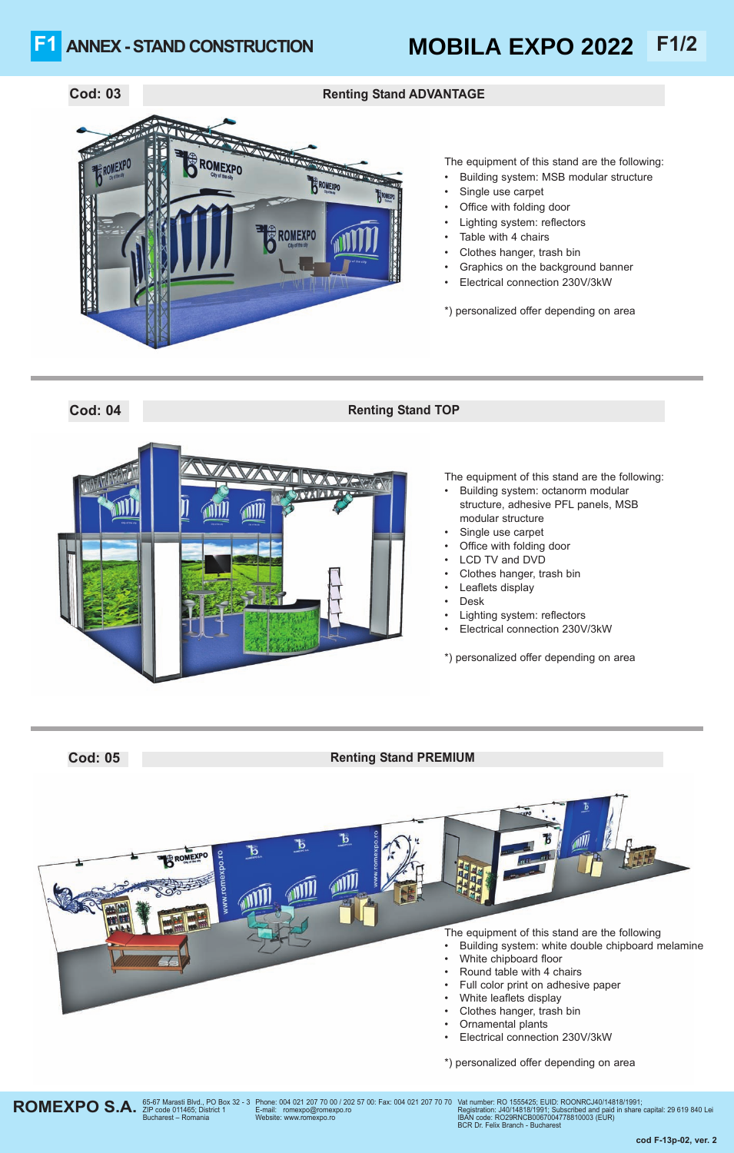## ANNEX - STAND CONSTRUCTION **MOBILA EXPO 2022** F1/2 **MOBILA EXPO 2022**



### The equipment of this stand are the following:

- Building system: MSB modular structure
- Single use carpet
- Office with folding door
- Lighting system: reflectors
- Table with 4 chairs
- Clothes hanger, trash bin
- Graphics on the background banner
- Electrical connection 230V/3kW

\*) personalized offer depending on area

# **Cod: 04 Renting Stand TOP**



- The equipment of this stand are the following: • Building system: octanorm modular structure, adhesive PFL panels, MSB modular structure
- Single use carpet
- Office with folding door
- LCD TV and DVD
- Clothes hanger, trash bin
- Leaflets display
- Desk
- Lighting system: reflectors
- Electrical connection 230V/3kW

\*) personalized offer depending on area

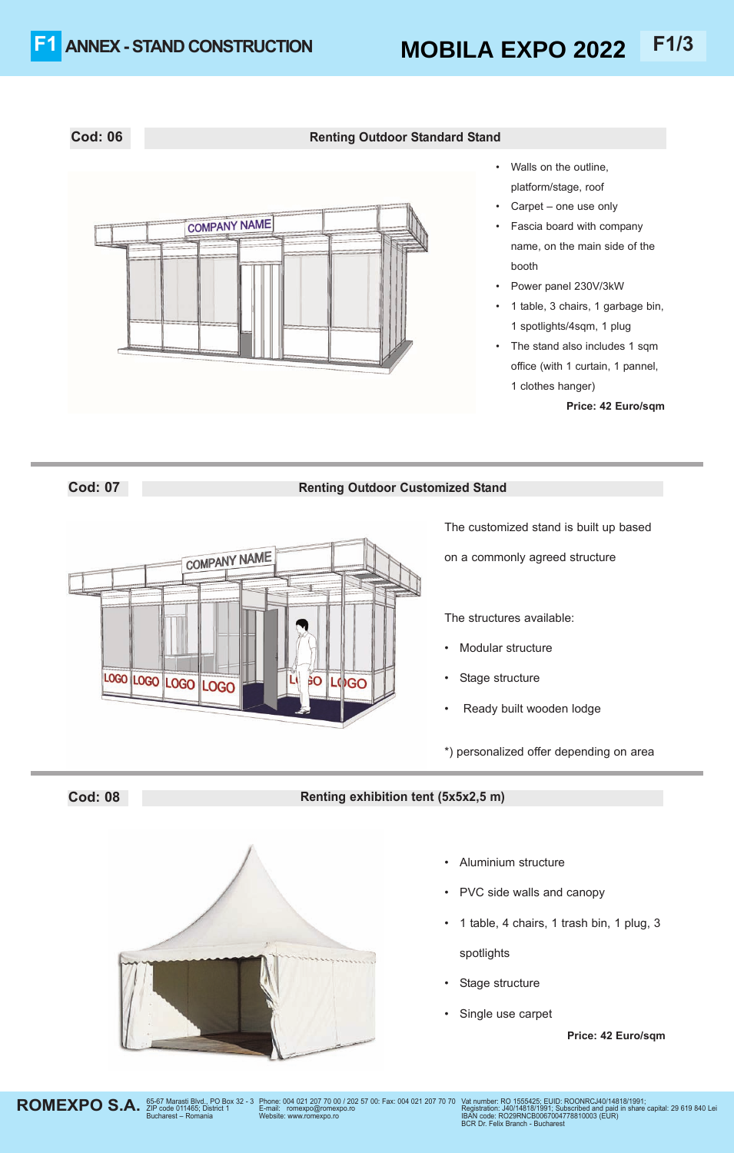# **Cod: 06 Renting Outdoor Standard Stand**

- **COMPANY NAME**
- Walls on the outline, platform/stage, roof
- Carpet one use only
- Fascia board with company name, on the main side of the booth
- Power panel 230V/3kW
- 1 table, 3 chairs, 1 garbage bin, 1 spotlights/4sqm, 1 plug
- The stand also includes 1 sqm office (with 1 curtain, 1 pannel, 1 clothes hanger)

**Price: 42 Euro/sqm**

## **Cod: 07 Renting Outdoor Customized Stand**



The customized stand is built up based

on a commonly agreed structure

The structures available:

- Modular structure
- Stage structure
- Ready built wooden lodge

\*) personalized offer depending on area

## **Cod: 08 Renting exhibition tent (5x5x2,5 m)**



Elp code 011465; District 1<br>Bucharest – Romania

- Aluminium structure
- PVC side walls and canopy
- 1 table, 4 chairs, 1 trash bin, 1 plug, 3 spotlights
- Stage structure
- Single use carpet

**Price: 42 Euro/sqm**



ROMEXPO S.A. <sup>65-67</sup> Marasti Blvd., PO Box 32 - 3 Phone: 004 021 207 70 00 / 202 57 00: Fax: 004 021 207 70 70 Vat number: RO 1555425; EUID: ROONRCJ40/14818/1991; Subscribed and paid in share  $R_{\text{eqistration}}$ . James and paid in E-mail: romexpo@romexpo.ro<br>Website: www.romexpo.ro

Registration: J40/14818/1991; Subscribed and paid in share capital: 29 619 840 Lei<br>IBAN code: RO29RNCB0067004778810003 (EUR)<br>BCR Dr. Felix Branch - Bucharest